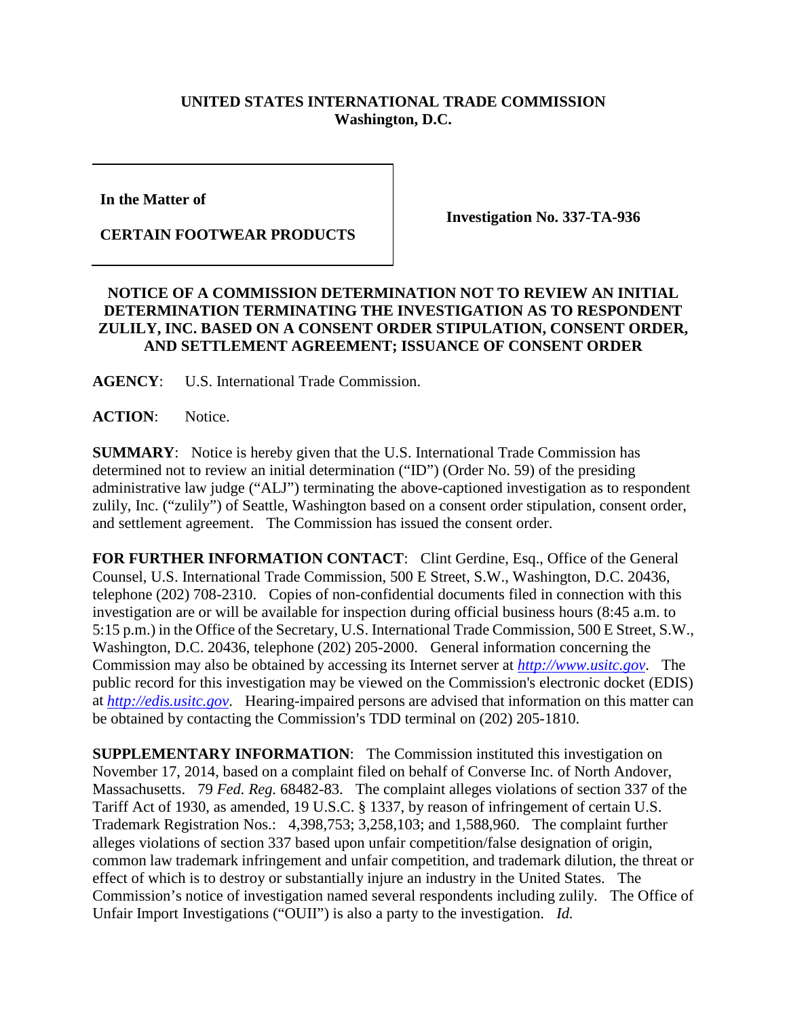## **UNITED STATES INTERNATIONAL TRADE COMMISSION Washington, D.C.**

**In the Matter of** 

**CERTAIN FOOTWEAR PRODUCTS**

**Investigation No. 337-TA-936**

## **NOTICE OF A COMMISSION DETERMINATION NOT TO REVIEW AN INITIAL DETERMINATION TERMINATING THE INVESTIGATION AS TO RESPONDENT ZULILY, INC. BASED ON A CONSENT ORDER STIPULATION, CONSENT ORDER, AND SETTLEMENT AGREEMENT; ISSUANCE OF CONSENT ORDER**

**AGENCY**: U.S. International Trade Commission.

**ACTION**: Notice.

**SUMMARY**: Notice is hereby given that the U.S. International Trade Commission has determined not to review an initial determination ("ID") (Order No. 59) of the presiding administrative law judge ("ALJ") terminating the above-captioned investigation as to respondent zulily, Inc. ("zulily") of Seattle, Washington based on a consent order stipulation, consent order, and settlement agreement. The Commission has issued the consent order.

FOR FURTHER INFORMATION CONTACT: Clint Gerdine, Esq., Office of the General Counsel, U.S. International Trade Commission, 500 E Street, S.W., Washington, D.C. 20436, telephone (202) 708-2310. Copies of non-confidential documents filed in connection with this investigation are or will be available for inspection during official business hours (8:45 a.m. to 5:15 p.m.) in the Office of the Secretary, U.S. International Trade Commission, 500 E Street, S.W., Washington, D.C. 20436, telephone (202) 205-2000. General information concerning the Commission may also be obtained by accessing its Internet server at *[http://www.usitc.gov](http://www.usitc.gov/)*. The public record for this investigation may be viewed on the Commission's electronic docket (EDIS) at *[http://edis.usitc.gov](http://edis.usitc.gov/)*. Hearing-impaired persons are advised that information on this matter can be obtained by contacting the Commission's TDD terminal on (202) 205-1810.

**SUPPLEMENTARY INFORMATION:** The Commission instituted this investigation on November 17, 2014, based on a complaint filed on behalf of Converse Inc. of North Andover, Massachusetts. 79 *Fed. Reg.* 68482-83. The complaint alleges violations of section 337 of the Tariff Act of 1930, as amended, 19 U.S.C. § 1337, by reason of infringement of certain U.S. Trademark Registration Nos.: 4,398,753; 3,258,103; and 1,588,960. The complaint further alleges violations of section 337 based upon unfair competition/false designation of origin, common law trademark infringement and unfair competition, and trademark dilution, the threat or effect of which is to destroy or substantially injure an industry in the United States. The Commission's notice of investigation named several respondents including zulily. The Office of Unfair Import Investigations ("OUII") is also a party to the investigation. *Id.*